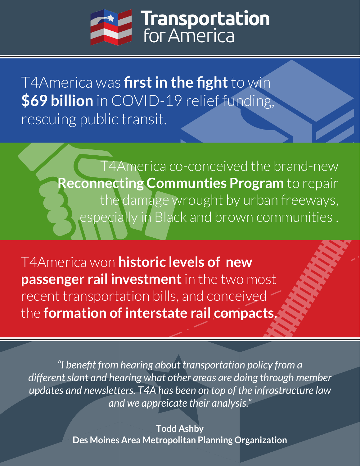

T4America was **first in the fight** to win **\$69 billion** in COVID-19 relief funding, rescuing public transit.

> T4America co-conceived the brand-new **Reconnecting Communties Program** to repair the damage wrought by urban freeways, especially in Black and brown communities .

T4America won **historic levels of new passenger rail investment** in the two most recent transportation bills, and conceived the **formation of interstate rail compacts.**

*"I benefit from hearing about transportation policy from a different slant and hearing what other areas are doing through member updates and newsletters. T4A has been on top of the infrastructure law and we appreicate their analysis."*

> **Todd Ashby Des Moines Area Metropolitan Planning Organization**